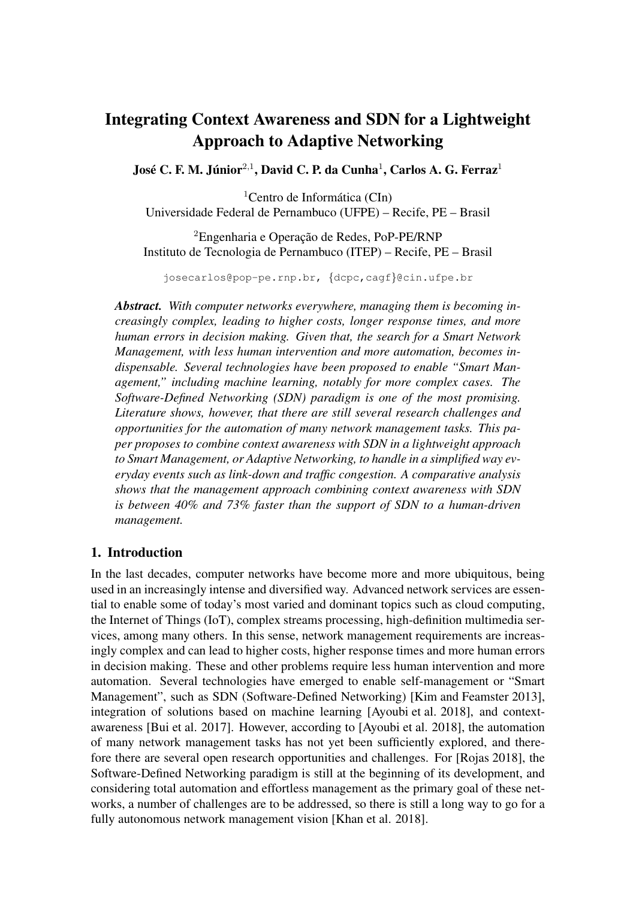# Integrating Context Awareness and SDN for a Lightweight Approach to Adaptive Networking

José C. F. M. Júnior $^{2,1}$ , David C. P. da Cunha $^{1}$ , Carlos A. G. Ferraz $^{1}$ 

 ${}^{1}$ Centro de Informática (CIn)

Universidade Federal de Pernambuco (UFPE) – Recife, PE – Brasil

 ${}^{2}$ Engenharia e Operação de Redes, PoP-PE/RNP Instituto de Tecnologia de Pernambuco (ITEP) – Recife, PE – Brasil

josecarlos@pop-pe.rnp.br, {dcpc,cagf}@cin.ufpe.br

*Abstract. With computer networks everywhere, managing them is becoming increasingly complex, leading to higher costs, longer response times, and more human errors in decision making. Given that, the search for a Smart Network Management, with less human intervention and more automation, becomes indispensable. Several technologies have been proposed to enable "Smart Management," including machine learning, notably for more complex cases. The Software-Defined Networking (SDN) paradigm is one of the most promising. Literature shows, however, that there are still several research challenges and opportunities for the automation of many network management tasks. This paper proposes to combine context awareness with SDN in a lightweight approach to Smart Management, or Adaptive Networking, to handle in a simplified way everyday events such as link-down and traffic congestion. A comparative analysis shows that the management approach combining context awareness with SDN is between 40% and 73% faster than the support of SDN to a human-driven management.*

## 1. Introduction

In the last decades, computer networks have become more and more ubiquitous, being used in an increasingly intense and diversified way. Advanced network services are essential to enable some of today's most varied and dominant topics such as cloud computing, the Internet of Things (IoT), complex streams processing, high-definition multimedia services, among many others. In this sense, network management requirements are increasingly complex and can lead to higher costs, higher response times and more human errors in decision making. These and other problems require less human intervention and more automation. Several technologies have emerged to enable self-management or "Smart Management", such as SDN (Software-Defined Networking) [Kim and Feamster 2013], integration of solutions based on machine learning [Ayoubi et al. 2018], and contextawareness [Bui et al. 2017]. However, according to [Ayoubi et al. 2018], the automation of many network management tasks has not yet been sufficiently explored, and therefore there are several open research opportunities and challenges. For [Rojas 2018], the Software-Defined Networking paradigm is still at the beginning of its development, and considering total automation and effortless management as the primary goal of these networks, a number of challenges are to be addressed, so there is still a long way to go for a fully autonomous network management vision [Khan et al. 2018].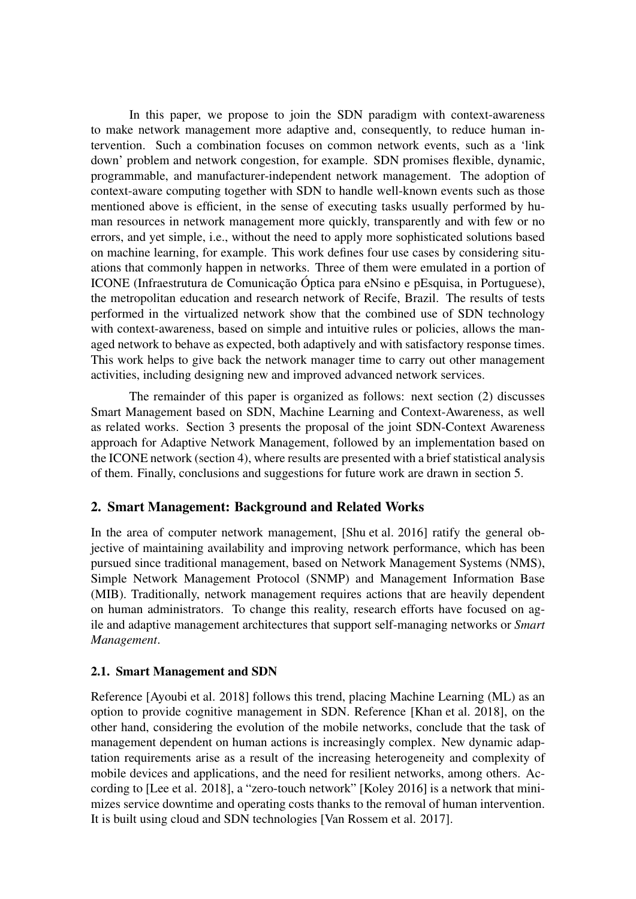In this paper, we propose to join the SDN paradigm with context-awareness to make network management more adaptive and, consequently, to reduce human intervention. Such a combination focuses on common network events, such as a 'link down' problem and network congestion, for example. SDN promises flexible, dynamic, programmable, and manufacturer-independent network management. The adoption of context-aware computing together with SDN to handle well-known events such as those mentioned above is efficient, in the sense of executing tasks usually performed by human resources in network management more quickly, transparently and with few or no errors, and yet simple, i.e., without the need to apply more sophisticated solutions based on machine learning, for example. This work defines four use cases by considering situations that commonly happen in networks. Three of them were emulated in a portion of ICONE (Infraestrutura de Comunicação Óptica para eNsino e pEsquisa, in Portuguese), the metropolitan education and research network of Recife, Brazil. The results of tests performed in the virtualized network show that the combined use of SDN technology with context-awareness, based on simple and intuitive rules or policies, allows the managed network to behave as expected, both adaptively and with satisfactory response times. This work helps to give back the network manager time to carry out other management activities, including designing new and improved advanced network services.

The remainder of this paper is organized as follows: next section (2) discusses Smart Management based on SDN, Machine Learning and Context-Awareness, as well as related works. Section 3 presents the proposal of the joint SDN-Context Awareness approach for Adaptive Network Management, followed by an implementation based on the ICONE network (section 4), where results are presented with a brief statistical analysis of them. Finally, conclusions and suggestions for future work are drawn in section 5.

# 2. Smart Management: Background and Related Works

In the area of computer network management, [Shu et al. 2016] ratify the general objective of maintaining availability and improving network performance, which has been pursued since traditional management, based on Network Management Systems (NMS), Simple Network Management Protocol (SNMP) and Management Information Base (MIB). Traditionally, network management requires actions that are heavily dependent on human administrators. To change this reality, research efforts have focused on agile and adaptive management architectures that support self-managing networks or *Smart Management*.

## 2.1. Smart Management and SDN

Reference [Ayoubi et al. 2018] follows this trend, placing Machine Learning (ML) as an option to provide cognitive management in SDN. Reference [Khan et al. 2018], on the other hand, considering the evolution of the mobile networks, conclude that the task of management dependent on human actions is increasingly complex. New dynamic adaptation requirements arise as a result of the increasing heterogeneity and complexity of mobile devices and applications, and the need for resilient networks, among others. According to [Lee et al. 2018], a "zero-touch network" [Koley 2016] is a network that minimizes service downtime and operating costs thanks to the removal of human intervention. It is built using cloud and SDN technologies [Van Rossem et al. 2017].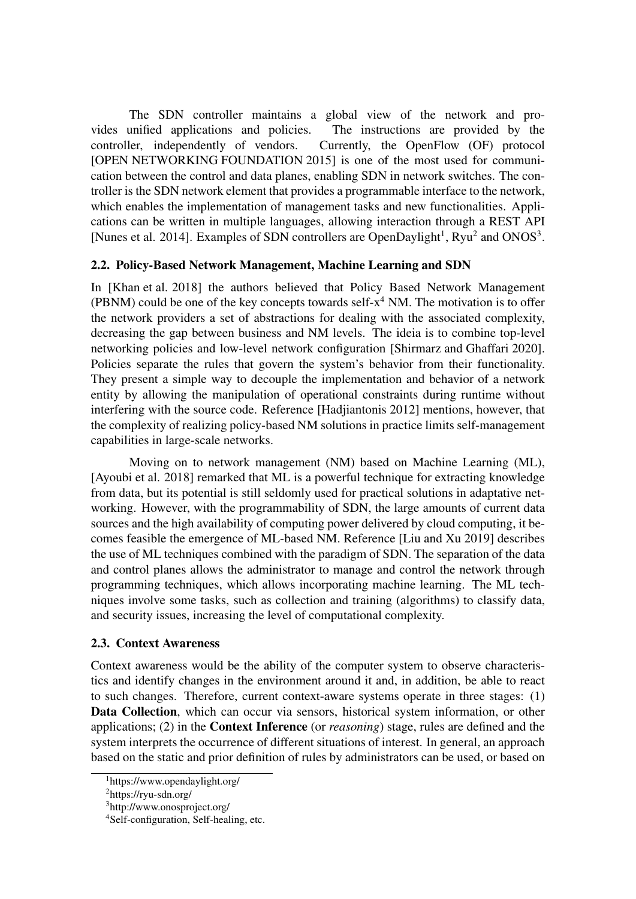The SDN controller maintains a global view of the network and provides unified applications and policies. The instructions are provided by the controller, independently of vendors. Currently, the OpenFlow (OF) protocol [OPEN NETWORKING FOUNDATION 2015] is one of the most used for communication between the control and data planes, enabling SDN in network switches. The controller is the SDN network element that provides a programmable interface to the network, which enables the implementation of management tasks and new functionalities. Applications can be written in multiple languages, allowing interaction through a REST API [Nunes et al. 2014]. Examples of SDN controllers are OpenDaylight<sup>1</sup>, Ryu<sup>2</sup> and ONOS<sup>3</sup>.

# 2.2. Policy-Based Network Management, Machine Learning and SDN

In [Khan et al. 2018] the authors believed that Policy Based Network Management (PBNM) could be one of the key concepts towards self- $x^4$  NM. The motivation is to offer the network providers a set of abstractions for dealing with the associated complexity, decreasing the gap between business and NM levels. The ideia is to combine top-level networking policies and low-level network configuration [Shirmarz and Ghaffari 2020]. Policies separate the rules that govern the system's behavior from their functionality. They present a simple way to decouple the implementation and behavior of a network entity by allowing the manipulation of operational constraints during runtime without interfering with the source code. Reference [Hadjiantonis 2012] mentions, however, that the complexity of realizing policy-based NM solutions in practice limits self-management capabilities in large-scale networks.

Moving on to network management (NM) based on Machine Learning (ML), [Ayoubi et al. 2018] remarked that ML is a powerful technique for extracting knowledge from data, but its potential is still seldomly used for practical solutions in adaptative networking. However, with the programmability of SDN, the large amounts of current data sources and the high availability of computing power delivered by cloud computing, it becomes feasible the emergence of ML-based NM. Reference [Liu and Xu 2019] describes the use of ML techniques combined with the paradigm of SDN. The separation of the data and control planes allows the administrator to manage and control the network through programming techniques, which allows incorporating machine learning. The ML techniques involve some tasks, such as collection and training (algorithms) to classify data, and security issues, increasing the level of computational complexity.

## 2.3. Context Awareness

Context awareness would be the ability of the computer system to observe characteristics and identify changes in the environment around it and, in addition, be able to react to such changes. Therefore, current context-aware systems operate in three stages: (1) Data Collection, which can occur via sensors, historical system information, or other applications; (2) in the Context Inference (or *reasoning*) stage, rules are defined and the system interprets the occurrence of different situations of interest. In general, an approach based on the static and prior definition of rules by administrators can be used, or based on

<sup>1</sup>https://www.opendaylight.org/

 ${}^{2}$ https://ryu-sdn.org/

<sup>3</sup>http://www.onosproject.org/

<sup>4</sup>Self-configuration, Self-healing, etc.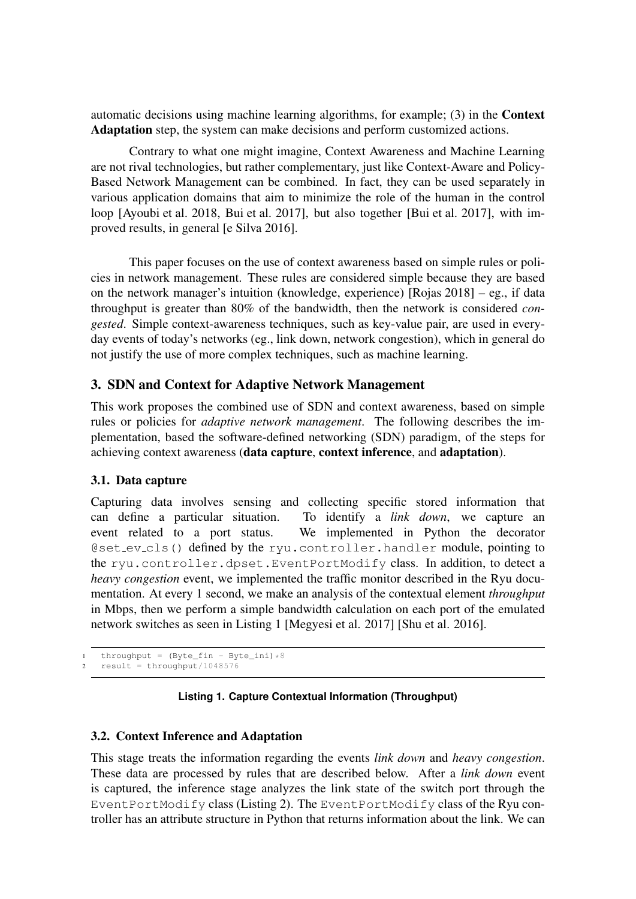automatic decisions using machine learning algorithms, for example; (3) in the Context Adaptation step, the system can make decisions and perform customized actions.

Contrary to what one might imagine, Context Awareness and Machine Learning are not rival technologies, but rather complementary, just like Context-Aware and Policy-Based Network Management can be combined. In fact, they can be used separately in various application domains that aim to minimize the role of the human in the control loop [Ayoubi et al. 2018, Bui et al. 2017], but also together [Bui et al. 2017], with improved results, in general [e Silva 2016].

This paper focuses on the use of context awareness based on simple rules or policies in network management. These rules are considered simple because they are based on the network manager's intuition (knowledge, experience) [Rojas 2018] – eg., if data throughput is greater than 80% of the bandwidth, then the network is considered *congested*. Simple context-awareness techniques, such as key-value pair, are used in everyday events of today's networks (eg., link down, network congestion), which in general do not justify the use of more complex techniques, such as machine learning.

# 3. SDN and Context for Adaptive Network Management

This work proposes the combined use of SDN and context awareness, based on simple rules or policies for *adaptive network management*. The following describes the implementation, based the software-defined networking (SDN) paradigm, of the steps for achieving context awareness (data capture, context inference, and adaptation).

#### 3.1. Data capture

Capturing data involves sensing and collecting specific stored information that can define a particular situation. To identify a *link down*, we capture an event related to a port status. We implemented in Python the decorator @set ev cls() defined by the ryu.controller.handler module, pointing to the ryu.controller.dpset.EventPortModify class. In addition, to detect a *heavy congestion* event, we implemented the traffic monitor described in the Ryu documentation. At every 1 second, we make an analysis of the contextual element *throughput* in Mbps, then we perform a simple bandwidth calculation on each port of the emulated network switches as seen in Listing 1 [Megyesi et al. 2017] [Shu et al. 2016].

```
throughput = (Byte\_fin - Byte\_ini)*82 result = throughput/1048576
```
## **Listing 1. Capture Contextual Information (Throughput)**

## 3.2. Context Inference and Adaptation

This stage treats the information regarding the events *link down* and *heavy congestion*. These data are processed by rules that are described below. After a *link down* event is captured, the inference stage analyzes the link state of the switch port through the EventPortModify class (Listing 2). The EventPortModify class of the Ryu controller has an attribute structure in Python that returns information about the link. We can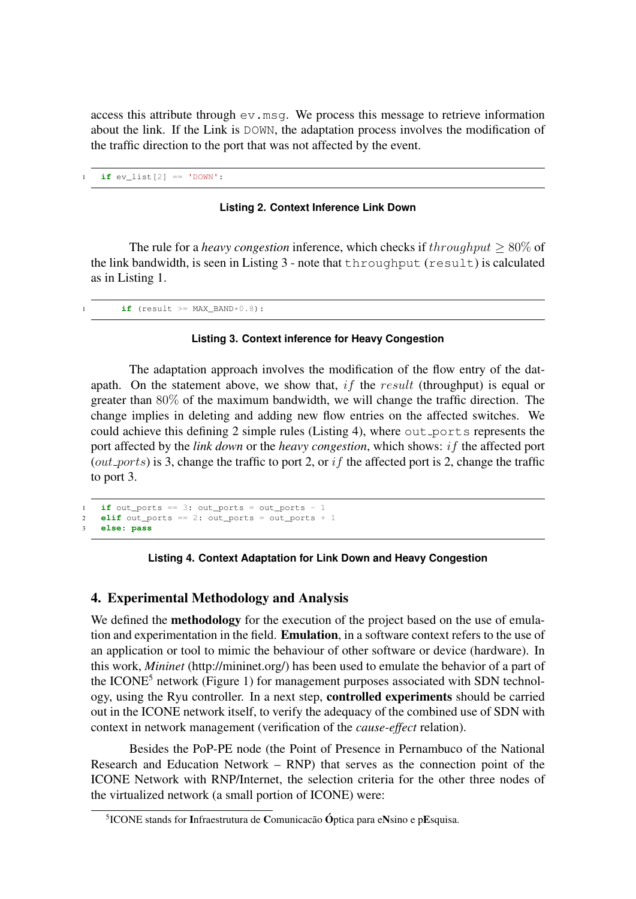access this attribute through  $ev$ .msg. We process this message to retrieve information about the link. If the Link is DOWN, the adaptation process involves the modification of the traffic direction to the port that was not affected by the event.

 $if ev_list[2] == 'DOWN':$ 

#### **Listing 2. Context Inference Link Down**

The rule for a *heavy congestion* inference, which checks if  $throughput > 80\%$  of the link bandwidth, is seen in Listing 3 - note that throughput (result) is calculated as in Listing 1.

 $if$  (result >=  $MAX_BAND*0.8$ ):

#### **Listing 3. Context inference for Heavy Congestion**

The adaptation approach involves the modification of the flow entry of the datapath. On the statement above, we show that, if the result (throughput) is equal or greater than 80% of the maximum bandwidth, we will change the traffic direction. The change implies in deleting and adding new flow entries on the affected switches. We could achieve this defining  $2$  simple rules (Listing 4), where out ports represents the port affected by the *link down* or the *heavy congestion*, which shows: if the affected port (*out ports*) is 3, change the traffic to port 2, or if the affected port is 2, change the traffic to port 3.

```
1 if out_ports == 3: out_ports = out_ports - 12 elif out_ports == 2: out_ports = out_ports + 1
3 else: pass
```
#### **Listing 4. Context Adaptation for Link Down and Heavy Congestion**

## 4. Experimental Methodology and Analysis

We defined the **methodology** for the execution of the project based on the use of emulation and experimentation in the field. Emulation, in a software context refers to the use of an application or tool to mimic the behaviour of other software or device (hardware). In this work, *Mininet* (http://mininet.org/) has been used to emulate the behavior of a part of the ICONE<sup>5</sup> network (Figure 1) for management purposes associated with SDN technology, using the Ryu controller. In a next step, controlled experiments should be carried out in the ICONE network itself, to verify the adequacy of the combined use of SDN with context in network management (verification of the *cause-effect* relation).

Besides the PoP-PE node (the Point of Presence in Pernambuco of the National Research and Education Network – RNP) that serves as the connection point of the ICONE Network with RNP/Internet, the selection criteria for the other three nodes of the virtualized network (a small portion of ICONE) were:

 $5$ ICONE stands for Infraestrutura de Comunicacão Óptica para eNsino e pEsquisa.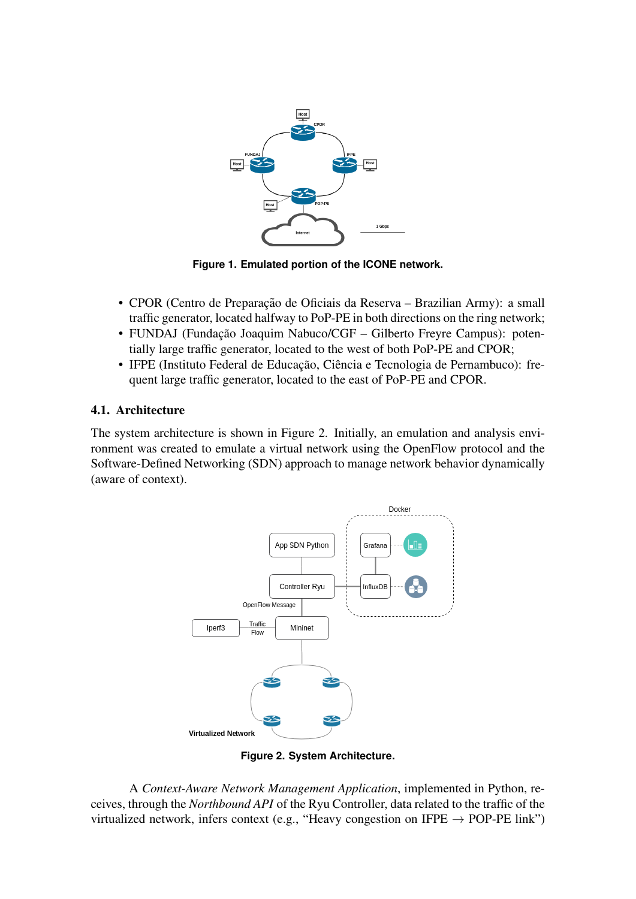

**Figure 1. Emulated portion of the ICONE network.**

- CPOR (Centro de Preparação de Oficiais da Reserva Brazilian Army): a small traffic generator, located halfway to PoP-PE in both directions on the ring network;
- FUNDAJ (Fundação Joaquim Nabuco/CGF Gilberto Freyre Campus): potentially large traffic generator, located to the west of both PoP-PE and CPOR;
- IFPE (Instituto Federal de Educação, Ciência e Tecnologia de Pernambuco): frequent large traffic generator, located to the east of PoP-PE and CPOR.

# 4.1. Architecture

The system architecture is shown in Figure 2. Initially, an emulation and analysis environment was created to emulate a virtual network using the OpenFlow protocol and the Software-Defined Networking (SDN) approach to manage network behavior dynamically (aware of context).



**Figure 2. System Architecture.**

A *Context-Aware Network Management Application*, implemented in Python, receives, through the *Northbound API* of the Ryu Controller, data related to the traffic of the virtualized network, infers context (e.g., "Heavy congestion on IFPE  $\rightarrow$  POP-PE link")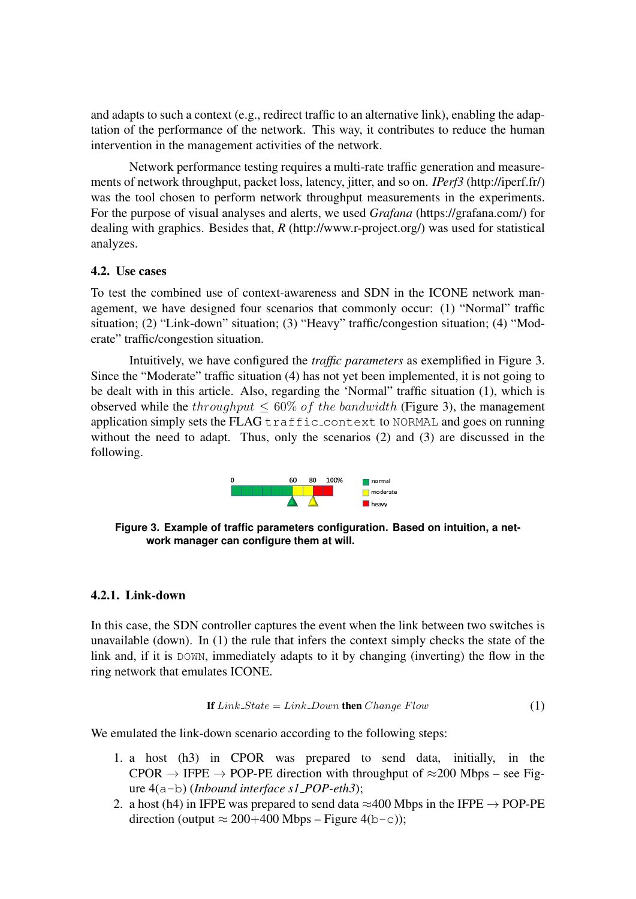and adapts to such a context (e.g., redirect traffic to an alternative link), enabling the adaptation of the performance of the network. This way, it contributes to reduce the human intervention in the management activities of the network.

Network performance testing requires a multi-rate traffic generation and measurements of network throughput, packet loss, latency, jitter, and so on. *IPerf3* (http://iperf.fr/) was the tool chosen to perform network throughput measurements in the experiments. For the purpose of visual analyses and alerts, we used *Grafana* (https://grafana.com/) for dealing with graphics. Besides that, *R* (http://www.r-project.org/) was used for statistical analyzes.

#### 4.2. Use cases

To test the combined use of context-awareness and SDN in the ICONE network management, we have designed four scenarios that commonly occur: (1) "Normal" traffic situation; (2) "Link-down" situation; (3) "Heavy" traffic/congestion situation; (4) "Moderate" traffic/congestion situation.

Intuitively, we have configured the *traffic parameters* as exemplified in Figure 3. Since the "Moderate" traffic situation (4) has not yet been implemented, it is not going to be dealt with in this article. Also, regarding the 'Normal" traffic situation (1), which is observed while the throughput  $\leq 60\%$  of the bandwidth (Figure 3), the management application simply sets the FLAG  $\text{traffic}\text{-context}$  to NORMAL and goes on running without the need to adapt. Thus, only the scenarios (2) and (3) are discussed in the following.



**Figure 3. Example of traffic parameters configuration. Based on intuition, a network manager can configure them at will.**

#### 4.2.1. Link-down

In this case, the SDN controller captures the event when the link between two switches is unavailable (down). In (1) the rule that infers the context simply checks the state of the link and, if it is DOWN, immediately adapts to it by changing (inverting) the flow in the ring network that emulates ICONE.

If 
$$
Link\_State = Link\_Down
$$
 then  $ChangeFlow$  (1)

We emulated the link-down scenario according to the following steps:

- 1. a host (h3) in CPOR was prepared to send data, initially, in the CPOR  $\rightarrow$  IFPE  $\rightarrow$  POP-PE direction with throughput of  $\approx$ 200 Mbps – see Figure 4(a-b) (*Inbound interface s1 POP-eth3*);
- 2. a host (h4) in IFPE was prepared to send data  $\approx$ 400 Mbps in the IFPE  $\rightarrow$  POP-PE direction (output ≈ 200+400 Mbps – Figure 4(b-c));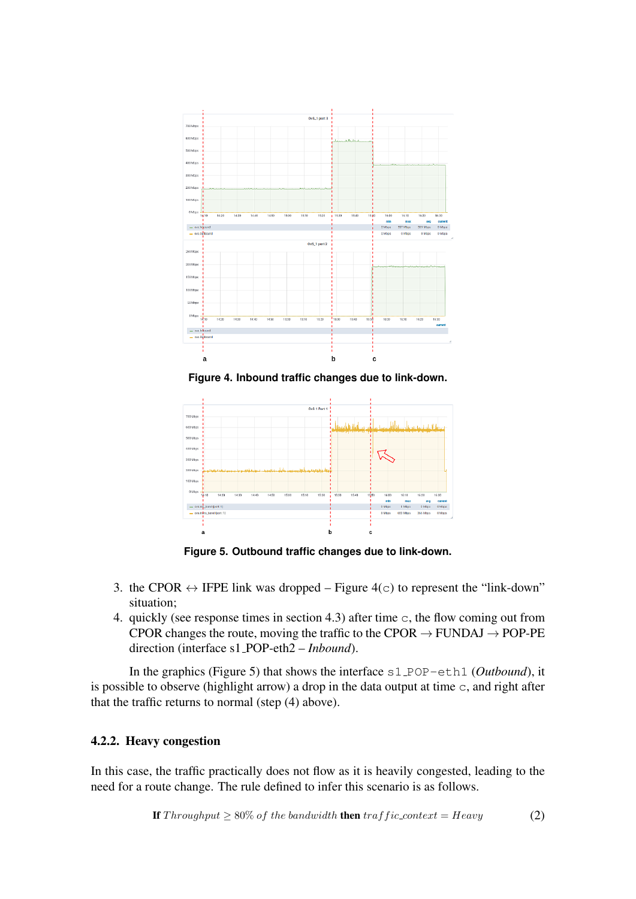

**Figure 4. Inbound traffic changes due to link-down.**



**Figure 5. Outbound traffic changes due to link-down.**

- 3. the CPOR  $\leftrightarrow$  IFPE link was dropped Figure 4(c) to represent the "link-down" situation;
- 4. quickly (see response times in section 4.3) after time c, the flow coming out from CPOR changes the route, moving the traffic to the CPOR  $\rightarrow$  FUNDAJ  $\rightarrow$  POP-PE direction (interface s1 POP-eth2 – *Inbound*).

In the graphics (Figure 5) that shows the interface s1\_POP-eth1 (*Outbound*), it is possible to observe (highlight arrow) a drop in the data output at time  $\sigma$ , and right after that the traffic returns to normal (step (4) above).

## 4.2.2. Heavy congestion

In this case, the traffic practically does not flow as it is heavily congested, leading to the need for a route change. The rule defined to infer this scenario is as follows.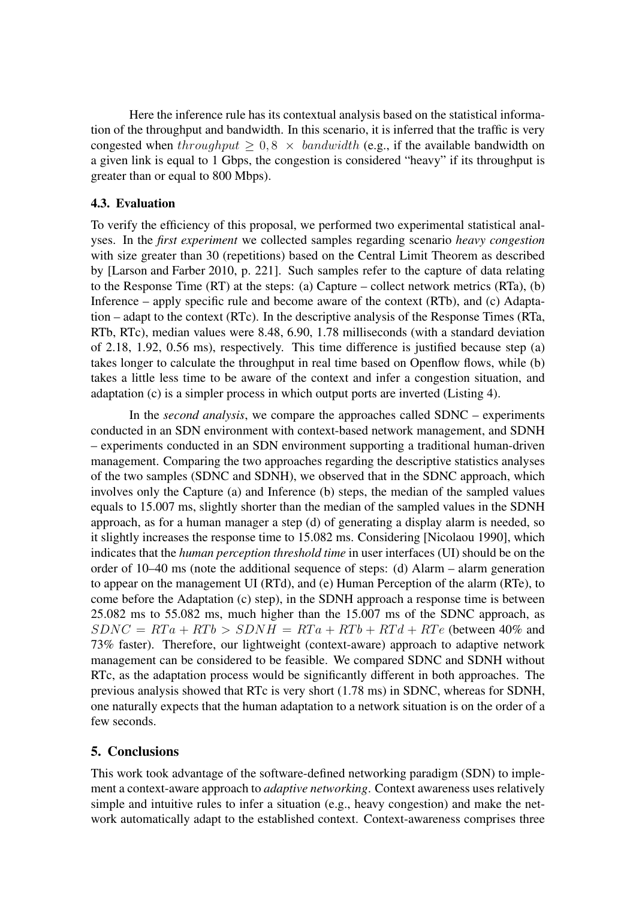Here the inference rule has its contextual analysis based on the statistical information of the throughput and bandwidth. In this scenario, it is inferred that the traffic is very congested when throughput  $\geq 0.8 \times$  bandwidth (e.g., if the available bandwidth on a given link is equal to 1 Gbps, the congestion is considered "heavy" if its throughput is greater than or equal to 800 Mbps).

#### 4.3. Evaluation

To verify the efficiency of this proposal, we performed two experimental statistical analyses. In the *first experiment* we collected samples regarding scenario *heavy congestion* with size greater than 30 (repetitions) based on the Central Limit Theorem as described by [Larson and Farber 2010, p. 221]. Such samples refer to the capture of data relating to the Response Time (RT) at the steps: (a) Capture – collect network metrics (RTa), (b) Inference – apply specific rule and become aware of the context (RTb), and (c) Adaptation – adapt to the context (RTc). In the descriptive analysis of the Response Times (RTa, RTb, RTc), median values were 8.48, 6.90, 1.78 milliseconds (with a standard deviation of 2.18, 1.92, 0.56 ms), respectively. This time difference is justified because step (a) takes longer to calculate the throughput in real time based on Openflow flows, while (b) takes a little less time to be aware of the context and infer a congestion situation, and adaptation (c) is a simpler process in which output ports are inverted (Listing 4).

In the *second analysis*, we compare the approaches called SDNC – experiments conducted in an SDN environment with context-based network management, and SDNH – experiments conducted in an SDN environment supporting a traditional human-driven management. Comparing the two approaches regarding the descriptive statistics analyses of the two samples (SDNC and SDNH), we observed that in the SDNC approach, which involves only the Capture (a) and Inference (b) steps, the median of the sampled values equals to 15.007 ms, slightly shorter than the median of the sampled values in the SDNH approach, as for a human manager a step (d) of generating a display alarm is needed, so it slightly increases the response time to 15.082 ms. Considering [Nicolaou 1990], which indicates that the *human perception threshold time* in user interfaces (UI) should be on the order of 10–40 ms (note the additional sequence of steps: (d) Alarm – alarm generation to appear on the management UI (RTd), and (e) Human Perception of the alarm (RTe), to come before the Adaptation (c) step), in the SDNH approach a response time is between 25.082 ms to 55.082 ms, much higher than the 15.007 ms of the SDNC approach, as  $SDNC = RTa + RTb > SDNH = RTa + RTb + RTd + RTe$  (between 40% and 73% faster). Therefore, our lightweight (context-aware) approach to adaptive network management can be considered to be feasible. We compared SDNC and SDNH without RTc, as the adaptation process would be significantly different in both approaches. The previous analysis showed that RTc is very short (1.78 ms) in SDNC, whereas for SDNH, one naturally expects that the human adaptation to a network situation is on the order of a few seconds.

## 5. Conclusions

This work took advantage of the software-defined networking paradigm (SDN) to implement a context-aware approach to *adaptive networking*. Context awareness uses relatively simple and intuitive rules to infer a situation (e.g., heavy congestion) and make the network automatically adapt to the established context. Context-awareness comprises three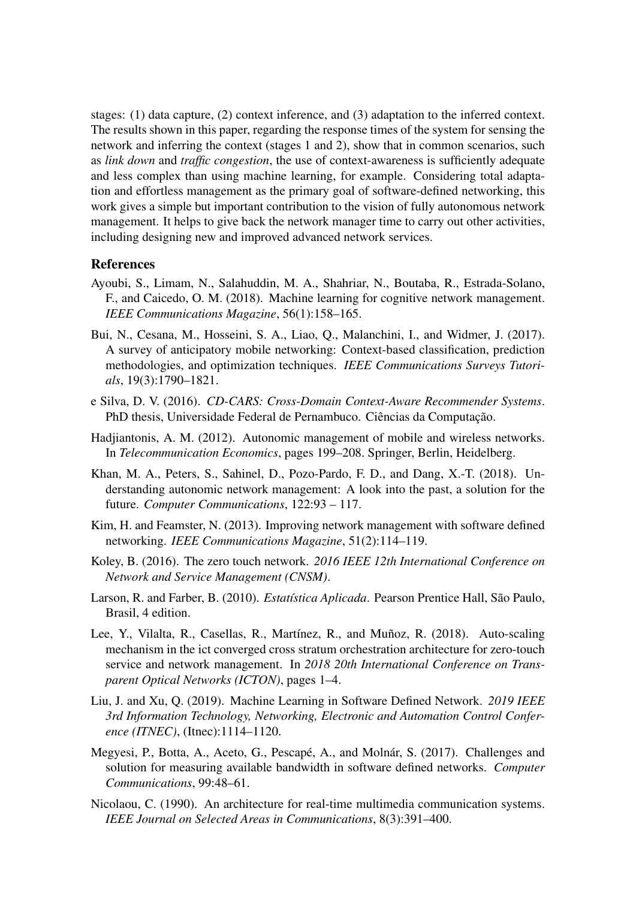stages: (1) data capture, (2) context inference, and (3) adaptation to the inferred context. The results shown in this paper, regarding the response times of the system for sensing the network and inferring the context (stages 1 and 2), show that in common scenarios, such as *link down* and *traffic congestion*, the use of context-awareness is sufficiently adequate and less complex than using machine learning, for example. Considering total adaptation and effortless management as the primary goal of software-defined networking, this work gives a simple but important contribution to the vision of fully autonomous network management. It helps to give back the network manager time to carry out other activities, including designing new and improved advanced network services.

## References

- Ayoubi, S., Limam, N., Salahuddin, M. A., Shahriar, N., Boutaba, R., Estrada-Solano, F., and Caicedo, O. M. (2018). Machine learning for cognitive network management. *IEEE Communications Magazine*, 56(1):158–165.
- Bui, N., Cesana, M., Hosseini, S. A., Liao, Q., Malanchini, I., and Widmer, J. (2017). A survey of anticipatory mobile networking: Context-based classification, prediction methodologies, and optimization techniques. *IEEE Communications Surveys Tutorials*, 19(3):1790–1821.
- e Silva, D. V. (2016). *CD-CARS: Cross-Domain Context-Aware Recommender Systems*. PhD thesis, Universidade Federal de Pernambuco. Ciências da Computação.
- Hadjiantonis, A. M. (2012). Autonomic management of mobile and wireless networks. In *Telecommunication Economics*, pages 199–208. Springer, Berlin, Heidelberg.
- Khan, M. A., Peters, S., Sahinel, D., Pozo-Pardo, F. D., and Dang, X.-T. (2018). Understanding autonomic network management: A look into the past, a solution for the future. *Computer Communications*, 122:93 – 117.
- Kim, H. and Feamster, N. (2013). Improving network management with software defined networking. *IEEE Communications Magazine*, 51(2):114–119.
- Koley, B. (2016). The zero touch network. *2016 IEEE 12th International Conference on Network and Service Management (CNSM)*.
- Larson, R. and Farber, B. (2010). *Estatística Aplicada*. Pearson Prentice Hall, São Paulo, Brasil, 4 edition.
- Lee, Y., Vilalta, R., Casellas, R., Martínez, R., and Muñoz, R. (2018). Auto-scaling mechanism in the ict converged cross stratum orchestration architecture for zero-touch service and network management. In *2018 20th International Conference on Transparent Optical Networks (ICTON)*, pages 1–4.
- Liu, J. and Xu, Q. (2019). Machine Learning in Software Defined Network. *2019 IEEE 3rd Information Technology, Networking, Electronic and Automation Control Conference (ITNEC)*, (Itnec):1114–1120.
- Megyesi, P., Botta, A., Aceto, G., Pescapé, A., and Molnár, S. (2017). Challenges and solution for measuring available bandwidth in software defined networks. *Computer Communications*, 99:48–61.
- Nicolaou, C. (1990). An architecture for real-time multimedia communication systems. *IEEE Journal on Selected Areas in Communications*, 8(3):391–400.